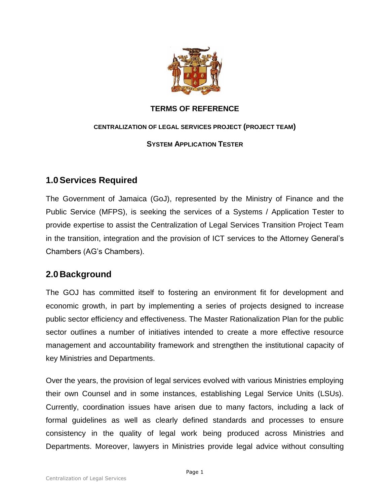

### **TERMS OF REFERENCE**

#### **CENTRALIZATION OF LEGAL SERVICES PROJECT (PROJECT TEAM)**

### **SYSTEM APPLICATION TESTER**

# **1.0Services Required**

The Government of Jamaica (GoJ), represented by the Ministry of Finance and the Public Service (MFPS), is seeking the services of a Systems / Application Tester to provide expertise to assist the Centralization of Legal Services Transition Project Team in the transition, integration and the provision of ICT services to the Attorney General's Chambers (AG's Chambers).

# **2.0 Background**

The GOJ has committed itself to fostering an environment fit for development and economic growth, in part by implementing a series of projects designed to increase public sector efficiency and effectiveness. The Master Rationalization Plan for the public sector outlines a number of initiatives intended to create a more effective resource management and accountability framework and strengthen the institutional capacity of key Ministries and Departments.

Over the years, the provision of legal services evolved with various Ministries employing their own Counsel and in some instances, establishing Legal Service Units (LSUs). Currently, coordination issues have arisen due to many factors, including a lack of formal guidelines as well as clearly defined standards and processes to ensure consistency in the quality of legal work being produced across Ministries and Departments. Moreover, lawyers in Ministries provide legal advice without consulting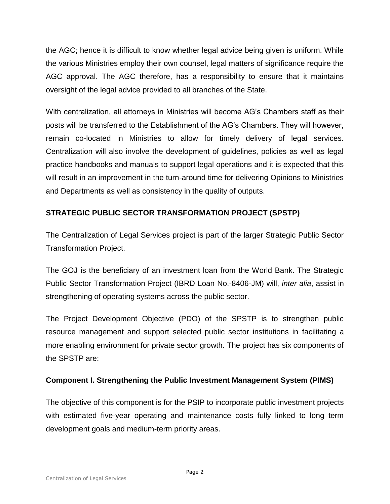the AGC; hence it is difficult to know whether legal advice being given is uniform. While the various Ministries employ their own counsel, legal matters of significance require the AGC approval. The AGC therefore, has a responsibility to ensure that it maintains oversight of the legal advice provided to all branches of the State.

With centralization, all attorneys in Ministries will become AG's Chambers staff as their posts will be transferred to the Establishment of the AG's Chambers. They will however, remain co-located in Ministries to allow for timely delivery of legal services. Centralization will also involve the development of guidelines, policies as well as legal practice handbooks and manuals to support legal operations and it is expected that this will result in an improvement in the turn-around time for delivering Opinions to Ministries and Departments as well as consistency in the quality of outputs.

## **STRATEGIC PUBLIC SECTOR TRANSFORMATION PROJECT (SPSTP)**

The Centralization of Legal Services project is part of the larger Strategic Public Sector Transformation Project.

The GOJ is the beneficiary of an investment loan from the World Bank. The Strategic Public Sector Transformation Project (IBRD Loan No.-8406-JM) will, *inter alia*, assist in strengthening of operating systems across the public sector.

The Project Development Objective (PDO) of the SPSTP is to strengthen public resource management and support selected public sector institutions in facilitating a more enabling environment for private sector growth. The project has six components of the SPSTP are:

## **Component I. Strengthening the Public Investment Management System (PIMS)**

The objective of this component is for the PSIP to incorporate public investment projects with estimated five-year operating and maintenance costs fully linked to long term development goals and medium-term priority areas.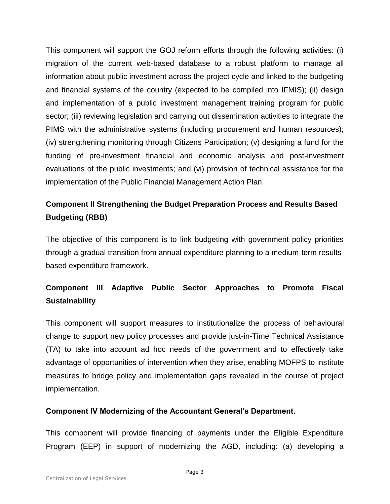This component will support the GOJ reform efforts through the following activities: (i) migration of the current web-based database to a robust platform to manage all information about public investment across the project cycle and linked to the budgeting and financial systems of the country (expected to be compiled into IFMIS); (ii) design and implementation of a public investment management training program for public sector; (iii) reviewing legislation and carrying out dissemination activities to integrate the PIMS with the administrative systems (including procurement and human resources); (iv) strengthening monitoring through Citizens Participation; (v) designing a fund for the funding of pre-investment financial and economic analysis and post-investment evaluations of the public investments; and (vi) provision of technical assistance for the implementation of the Public Financial Management Action Plan.

# **Component II Strengthening the Budget Preparation Process and Results Based Budgeting (RBB)**

The objective of this component is to link budgeting with government policy priorities through a gradual transition from annual expenditure planning to a medium-term resultsbased expenditure framework.

# **Component III Adaptive Public Sector Approaches to Promote Fiscal Sustainability**

This component will support measures to institutionalize the process of behavioural change to support new policy processes and provide just-in-Time Technical Assistance (TA) to take into account ad hoc needs of the government and to effectively take advantage of opportunities of intervention when they arise, enabling MOFPS to institute measures to bridge policy and implementation gaps revealed in the course of project implementation.

#### **Component IV Modernizing of the Accountant General's Department.**

This component will provide financing of payments under the Eligible Expenditure Program (EEP) in support of modernizing the AGD, including: (a) developing a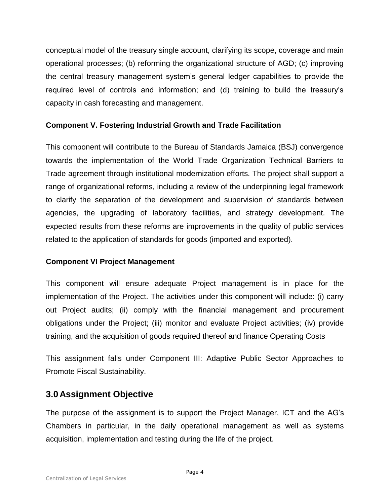conceptual model of the treasury single account, clarifying its scope, coverage and main operational processes; (b) reforming the organizational structure of AGD; (c) improving the central treasury management system's general ledger capabilities to provide the required level of controls and information; and (d) training to build the treasury's capacity in cash forecasting and management.

#### **Component V. Fostering Industrial Growth and Trade Facilitation**

This component will contribute to the Bureau of Standards Jamaica (BSJ) convergence towards the implementation of the World Trade Organization Technical Barriers to Trade agreement through institutional modernization efforts. The project shall support a range of organizational reforms, including a review of the underpinning legal framework to clarify the separation of the development and supervision of standards between agencies, the upgrading of laboratory facilities, and strategy development. The expected results from these reforms are improvements in the quality of public services related to the application of standards for goods (imported and exported).

#### **Component VI Project Management**

This component will ensure adequate Project management is in place for the implementation of the Project. The activities under this component will include: (i) carry out Project audits; (ii) comply with the financial management and procurement obligations under the Project; (iii) monitor and evaluate Project activities; (iv) provide training, and the acquisition of goods required thereof and finance Operating Costs

This assignment falls under Component III: Adaptive Public Sector Approaches to Promote Fiscal Sustainability.

## **3.0 Assignment Objective**

The purpose of the assignment is to support the Project Manager, ICT and the AG's Chambers in particular, in the daily operational management as well as systems acquisition, implementation and testing during the life of the project.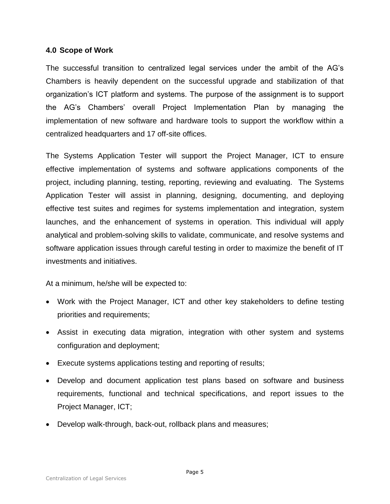#### **4.0 Scope of Work**

The successful transition to centralized legal services under the ambit of the AG's Chambers is heavily dependent on the successful upgrade and stabilization of that organization's ICT platform and systems. The purpose of the assignment is to support the AG's Chambers' overall Project Implementation Plan by managing the implementation of new software and hardware tools to support the workflow within a centralized headquarters and 17 off-site offices.

The Systems Application Tester will support the Project Manager, ICT to ensure effective implementation of systems and software applications components of the project, including planning, testing, reporting, reviewing and evaluating. The Systems Application Tester will assist in planning, designing, documenting, and deploying effective test suites and regimes for systems implementation and integration, system launches, and the enhancement of systems in operation. This individual will apply analytical and problem-solving skills to validate, communicate, and resolve systems and software application issues through careful testing in order to maximize the benefit of IT investments and initiatives.

At a minimum, he/she will be expected to:

- Work with the Project Manager, ICT and other key stakeholders to define testing priorities and requirements;
- Assist in executing data migration, integration with other system and systems configuration and deployment;
- Execute systems applications testing and reporting of results;
- Develop and document application test plans based on software and business requirements, functional and technical specifications, and report issues to the Project Manager, ICT;
- Develop walk-through, back-out, rollback plans and measures;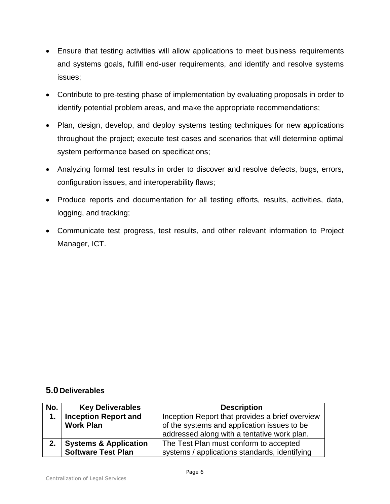- Ensure that testing activities will allow applications to meet business requirements and systems goals, fulfill end-user requirements, and identify and resolve systems issues;
- Contribute to pre-testing phase of implementation by evaluating proposals in order to identify potential problem areas, and make the appropriate recommendations;
- Plan, design, develop, and deploy systems testing techniques for new applications throughout the project; execute test cases and scenarios that will determine optimal system performance based on specifications;
- Analyzing formal test results in order to discover and resolve defects, bugs, errors, configuration issues, and interoperability flaws;
- Produce reports and documentation for all testing efforts, results, activities, data, logging, and tracking;
- Communicate test progress, test results, and other relevant information to Project Manager, ICT.

### **5.0 Deliverables**

| No. | <b>Key Deliverables</b>          | <b>Description</b>                              |
|-----|----------------------------------|-------------------------------------------------|
| 1.  | <b>Inception Report and</b>      | Inception Report that provides a brief overview |
|     | <b>Work Plan</b>                 | of the systems and application issues to be     |
|     |                                  | addressed along with a tentative work plan.     |
| 2.  | <b>Systems &amp; Application</b> | The Test Plan must conform to accepted          |
|     | <b>Software Test Plan</b>        | systems / applications standards, identifying   |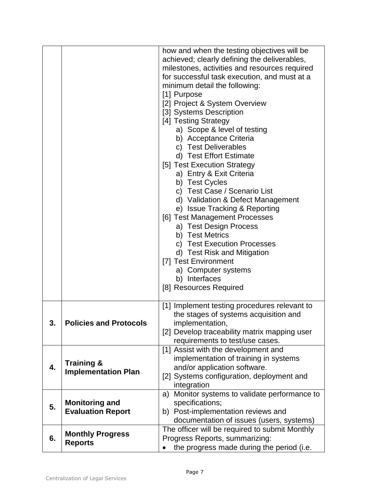|    |                                                     | how and when the testing objectives will be<br>achieved; clearly defining the deliverables,<br>milestones, activities and resources required<br>for successful task execution, and must at a<br>minimum detail the following:<br>[1] Purpose<br>[2] Project & System Overview<br>[3] Systems Description<br>[4] Testing Strategy<br>a) Scope & level of testing<br>b) Acceptance Criteria<br>c) Test Deliverables<br>d) Test Effort Estimate<br>[5] Test Execution Strategy<br>a) Entry & Exit Criteria<br>b) Test Cycles<br>c) Test Case / Scenario List<br>d) Validation & Defect Management<br>e) Issue Tracking & Reporting<br>[6] Test Management Processes<br>a) Test Design Process |
|----|-----------------------------------------------------|--------------------------------------------------------------------------------------------------------------------------------------------------------------------------------------------------------------------------------------------------------------------------------------------------------------------------------------------------------------------------------------------------------------------------------------------------------------------------------------------------------------------------------------------------------------------------------------------------------------------------------------------------------------------------------------------|
|    |                                                     | b) Test Metrics<br>c) Test Execution Processes<br>d) Test Risk and Mitigation<br>[7] Test Environment<br>a) Computer systems<br>b) Interfaces<br>[8] Resources Required                                                                                                                                                                                                                                                                                                                                                                                                                                                                                                                    |
| 3. | <b>Policies and Protocols</b>                       | [1] Implement testing procedures relevant to<br>the stages of systems acquisition and<br>implementation,<br>[2] Develop traceability matrix mapping user<br>requirements to test/use cases.                                                                                                                                                                                                                                                                                                                                                                                                                                                                                                |
| 4. | <b>Training &amp;</b><br><b>Implementation Plan</b> | [1] Assist with the development and<br>implementation of training in systems<br>and/or application software.<br>[2] Systems configuration, deployment and<br>integration                                                                                                                                                                                                                                                                                                                                                                                                                                                                                                                   |
| 5. | <b>Monitoring and</b><br><b>Evaluation Report</b>   | a) Monitor systems to validate performance to<br>specifications;<br>b) Post-implementation reviews and<br>documentation of issues (users, systems)                                                                                                                                                                                                                                                                                                                                                                                                                                                                                                                                         |
| 6. | <b>Monthly Progress</b><br><b>Reports</b>           | The officer will be required to submit Monthly<br>Progress Reports, summarizing:<br>the progress made during the period (i.e.                                                                                                                                                                                                                                                                                                                                                                                                                                                                                                                                                              |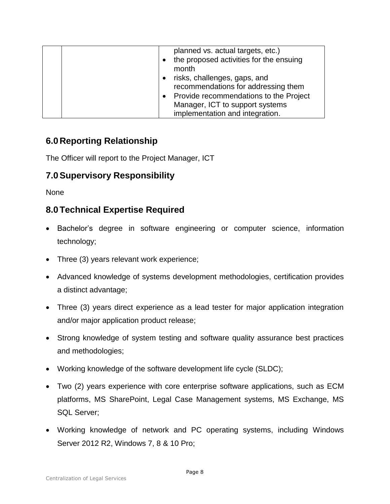|  | planned vs. actual targets, etc.)<br>the proposed activities for the ensuing<br>month<br>risks, challenges, gaps, and<br>recommendations for addressing them<br>• Provide recommendations to the Project<br>Manager, ICT to support systems<br>implementation and integration. |
|--|--------------------------------------------------------------------------------------------------------------------------------------------------------------------------------------------------------------------------------------------------------------------------------|
|--|--------------------------------------------------------------------------------------------------------------------------------------------------------------------------------------------------------------------------------------------------------------------------------|

# **6.0 Reporting Relationship**

The Officer will report to the Project Manager, ICT

# **7.0Supervisory Responsibility**

None

# **8.0Technical Expertise Required**

- Bachelor's degree in software engineering or computer science, information technology;
- Three (3) years relevant work experience;
- Advanced knowledge of systems development methodologies, certification provides a distinct advantage;
- Three (3) years direct experience as a lead tester for major application integration and/or major application product release;
- Strong knowledge of system testing and software quality assurance best practices and methodologies;
- Working knowledge of the software development life cycle (SLDC);
- Two (2) years experience with core enterprise software applications, such as ECM platforms, MS SharePoint, Legal Case Management systems, MS Exchange, MS SQL Server;
- Working knowledge of network and PC operating systems, including Windows Server 2012 R2, Windows 7, 8 & 10 Pro;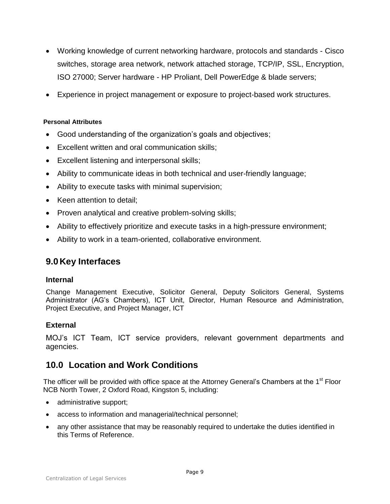- Working knowledge of current networking hardware, protocols and standards Cisco switches, storage area network, network attached storage, TCP/IP, SSL, Encryption, ISO 27000; Server hardware - HP Proliant, Dell PowerEdge & blade servers;
- Experience in project management or exposure to project-based work structures.

#### **Personal Attributes**

- Good understanding of the organization's goals and objectives;
- Excellent written and oral communication skills;
- Excellent listening and interpersonal skills;
- Ability to communicate ideas in both technical and user-friendly language;
- Ability to execute tasks with minimal supervision;
- Keen attention to detail:
- Proven analytical and creative problem-solving skills;
- Ability to effectively prioritize and execute tasks in a high-pressure environment;
- Ability to work in a team-oriented, collaborative environment.

# **9.0 Key Interfaces**

#### **Internal**

Change Management Executive, Solicitor General, Deputy Solicitors General, Systems Administrator (AG's Chambers), ICT Unit, Director, Human Resource and Administration, Project Executive, and Project Manager, ICT

#### **External**

MOJ's ICT Team, ICT service providers, relevant government departments and agencies.

## **10.0 Location and Work Conditions**

The officer will be provided with office space at the Attorney General's Chambers at the 1<sup>st</sup> Floor NCB North Tower, 2 Oxford Road, Kingston 5, including:

- administrative support;
- access to information and managerial/technical personnel;
- any other assistance that may be reasonably required to undertake the duties identified in this Terms of Reference.